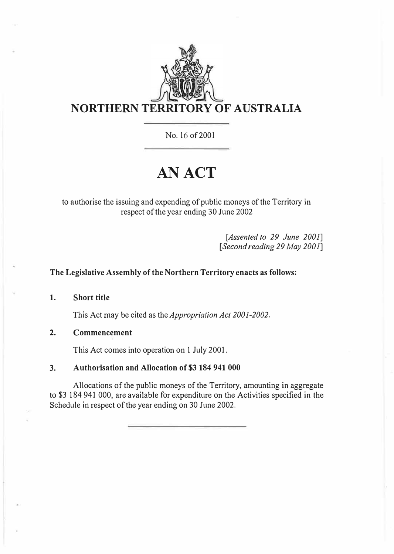

No. 16 of2001

# **AN ACT**

to authorise the issuing and expending of public moneys of the Territory in respect of the year ending 30 June 2002

> *[Assented to 29 June 2001] [Second reading 29 May 2001]*

#### **The Legislative Assembly of the Northern Territory enacts as follows:**

**1. Short title**

This Act may be cited as the *Appropriation Act 2001-2002.*

**2. Commencement**

This Act comes into operation on 1 July 2001.

#### **3. Authorisation and Allocation of \$3 184 941 000**

Allocations of the public moneys of the Territory, amounting in aggregate to \$3 184 941 000, are available for expenditure on the Activities specified in the Schedule in respect of the year ending on 30 June 2002.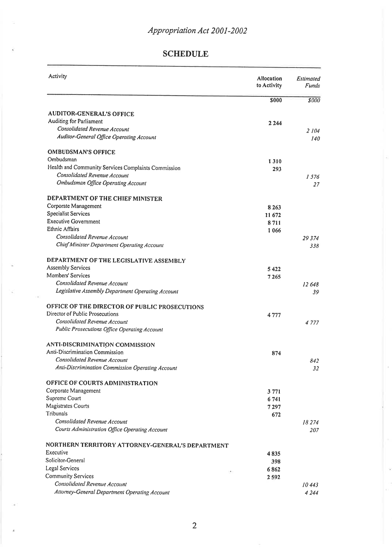#### **SCHEDULE**

| Activity                                            | Allocation<br>to Activity | Estimated<br><b>Funds</b> |
|-----------------------------------------------------|---------------------------|---------------------------|
|                                                     | \$000                     | \$000                     |
| <b>AUDITOR-GENERAL'S OFFICE</b>                     |                           |                           |
| Auditing for Parliament                             | 2 2 4 4                   |                           |
| Consolidated Revenue Account                        |                           | 2 104                     |
| Auditor-General Office Operating Account            |                           | 140                       |
| <b>OMBUDSMAN'S OFFICE</b>                           |                           |                           |
| Ombudsman                                           | 1310                      |                           |
| Health and Community Services Complaints Commission | 293                       |                           |
| Consolidated Revenue Account                        |                           | 1576                      |
| Ombudsman Office Operating Account                  |                           | 27                        |
| DEPARTMENT OF THE CHIEF MINISTER                    |                           |                           |
| Corporate Management                                | 8 2 6 3                   |                           |
| Specialist Services                                 | 11 672                    |                           |
| <b>Executive Government</b>                         | 8711                      |                           |
| Ethnic Affairs                                      | 1066                      |                           |
| Consolidated Revenue Account                        |                           | 29 3 74                   |
| Chief Minister Department Operating Account         |                           | 338                       |
| DEPARTMENT OF THE LEGISLATIVE ASSEMBLY              |                           |                           |
| <b>Assembly Services</b>                            | 5422                      |                           |
| Members' Services                                   | 7265                      |                           |
| Consolidated Revenue Account                        |                           | 12 648                    |
| Legislative Assembly Department Operating Account   |                           | 39                        |
| OFFICE OF THE DIRECTOR OF PUBLIC PROSECUTIONS       |                           |                           |
| Director of Public Prosecutions                     | 4777                      |                           |
| Consolidated Revenue Account                        |                           | 4 7 7 7                   |
| Public Prosecutions Office Operating Account        |                           |                           |
| ANTI-DISCRIMINATION COMMISSION                      |                           |                           |
| Anti-Discrimination Commission                      | 874                       |                           |
| Consolidated Revenue Account                        |                           | 842                       |
| Anti-Discrimination Commission Operating Account    |                           | 32                        |
| OFFICE OF COURTS ADMINISTRATION                     |                           |                           |
| Corporate Management                                | 3771                      |                           |
| Supreme Court                                       | 6741                      |                           |
| Magistrates Courts                                  | 7297                      |                           |
| Tribunals                                           | 672                       |                           |
| Consolidated Revenue Account                        |                           | 18274                     |
| Courts Administration Office Operating Account      |                           | 207                       |
| NORTHERN TERRITORY ATTORNEY-GENERAL'S DEPARTMENT    |                           |                           |
| Executive                                           | 4835                      |                           |
| Solicitor-General                                   | 398                       |                           |
| Legal Services<br>187                               | 6862                      |                           |
| <b>Community Services</b>                           | 2592                      |                           |
| Consolidated Revenue Account                        |                           | 10.443                    |
| Attorney-General Department Operating Account       |                           | 4244                      |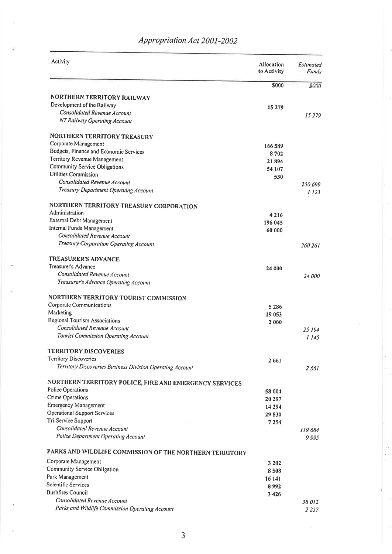| Activity                                                  | Allocation<br>to Activity | Estimated<br>Funds |
|-----------------------------------------------------------|---------------------------|--------------------|
|                                                           | <b>S000</b>               | \$000              |
| NORTHERN TERRITORY RAILWAY                                |                           |                    |
| Development of the Railway                                | 15 279                    |                    |
| Consolidated Revenue Account                              |                           | 15 279             |
| NT Railway Operating Account                              |                           |                    |
| <b>NORTHERN TERRITORY TREASURY</b>                        |                           |                    |
| Corporate Management                                      | 166589                    |                    |
| Budgets, Finance and Economic Services                    | 8702                      |                    |
| Territory Revenue Management                              | 21894                     |                    |
| Community Service Obligations                             | 54 107                    |                    |
| Utilities Commission                                      | 530                       |                    |
| Consolidated Revenue Account                              |                           | 250 699            |
| Treasury Department Operating Account                     |                           | 1 123              |
| NORTHERN TERRITORY TREASURY CORPORATION                   |                           |                    |
| Administration                                            | 4216                      |                    |
| External Debt Management<br>Internal Funds Management     | 196 045                   |                    |
| Consolidated Revenue Account                              | 60 000                    |                    |
| Treasury Corporation Operating Account                    |                           | 260 261            |
| <b>TREASURER'S ADVANCE</b>                                |                           |                    |
| Treasurer's Advance                                       |                           |                    |
| Consolidated Revenue Account                              | 24 000                    |                    |
| Treasurer's Advance Operating Account                     |                           | <i>24 000</i>      |
| NORTHERN TERRITORY TOURIST COMMISSION                     |                           |                    |
| Corporate Communications                                  | 5286                      |                    |
| Marketing                                                 | 19 053                    |                    |
| Regional Tourism Associations                             | 2000                      |                    |
| Consolidated Revenue Account                              |                           | 25 194             |
| Tourist Commission Operating Account                      |                           | 1 145              |
| <b>TERRITORY DISCOVERIES</b>                              |                           |                    |
| Territory Discoveries                                     | 2 6 6 1                   |                    |
| Territory Discoveries Business Division Operating Account |                           | 2 661              |
| NORTHERN TERRITORY POLICE, FIRE AND EMERGENCY SERVICES    |                           |                    |
| <b>Police Operations</b>                                  | 58 004                    |                    |
| Crime Operations                                          | 20 297                    |                    |
| <b>Emergency Management</b>                               | 14 294                    |                    |
| Operational Support Services                              | 29830                     |                    |
| Tri-Service Support                                       | 7254                      |                    |
| Consolidated Revenue Account                              |                           | 119684             |
| Police Department Operating Account                       |                           | 9995               |
| PARKS AND WILDLIFE COMMISSION OF THE NORTHERN TERRITORY   |                           |                    |
| Corporate Management                                      | 3 2 0 2                   |                    |
| Community Service Obligation                              | 8508                      |                    |
| Park Management                                           | 16 14 1                   |                    |
| Scientific Services                                       | 8992                      |                    |
| <b>Bushfires Council</b>                                  | 3426                      |                    |
| Consolidated Revenue Account                              |                           | 38 012             |
| Parks and Wildlife Commission Operating Account           |                           | 2 2 5 7            |

## Appropriation Act 2001-2002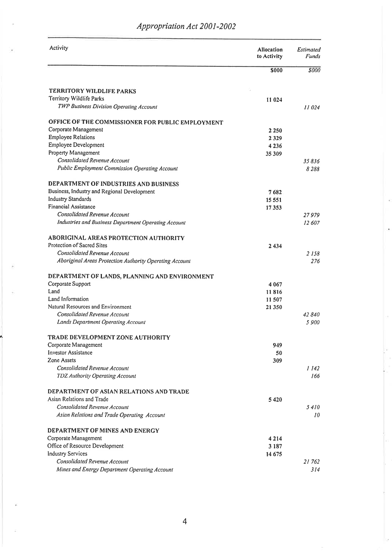| Activity                                                                                | Allocation<br>to Activity | Estimated<br><b>Funds</b> |
|-----------------------------------------------------------------------------------------|---------------------------|---------------------------|
|                                                                                         | <b>S000</b>               | <b>S000</b>               |
| TERRITORY WILDLIFE PARKS                                                                |                           |                           |
| Territory Wildlife Parks                                                                | 11 024                    |                           |
| TWP Business Division Operating Account                                                 |                           | 11024                     |
| OFFICE OF THE COMMISSIONER FOR PUBLIC EMPLOYMENT                                        |                           |                           |
| Corporate Management                                                                    | 2 2 5 0                   |                           |
| <b>Employee Relations</b>                                                               | 2329                      |                           |
| Employee Development                                                                    | 4236                      |                           |
| Property Management                                                                     | 35 309                    |                           |
| Consolidated Revenue Account                                                            |                           | 35836                     |
| Public Employment Commission Operating Account                                          |                           | 8 2 8 8                   |
| DEPARTMENT OF INDUSTRIES AND BUSINESS                                                   |                           |                           |
| Business, Industry and Regional Development                                             | 7 682                     |                           |
| <b>Industry Standards</b>                                                               | 15 551                    |                           |
| <b>Financial Assistance</b>                                                             | 17353                     |                           |
| <b>Consolidated Revenue Account</b>                                                     |                           | 27 979                    |
| Industries and Business Department Operating Account                                    |                           | 12 607                    |
| ABORIGINAL AREAS PROTECTION AUTHORITY                                                   |                           |                           |
| Protection of Sacred Sites                                                              | 2434                      |                           |
| Consolidated Revenue Account<br>Aboriginal Areas Protection Authority Operating Account |                           | 2 1 5 8<br>276            |
|                                                                                         |                           |                           |
| DEPARTMENT OF LANDS, PLANNING AND ENVIRONMENT                                           |                           |                           |
| Corporate Support<br>Land                                                               | 4 0 6 7                   |                           |
| Land Information                                                                        | 11816                     |                           |
| Natural Resources and Environment                                                       | 11507                     |                           |
| Consolidated Revenue Account                                                            | 21 350                    | 42840                     |
| Lands Department Operating Account                                                      |                           | 5900                      |
| TRADE DEVELOPMENT ZONE AUTHORITY                                                        |                           |                           |
| Corporate Management                                                                    | 949                       |                           |
| <b>Investor Assistance</b>                                                              | 50                        |                           |
| Zone Assets                                                                             | 309                       |                           |
| Consolidated Revenue Account                                                            |                           | 1142                      |
| TDZ Authority Operating Account                                                         |                           | 166                       |
| DEPARTMENT OF ASIAN RELATIONS AND TRADE                                                 |                           |                           |
| Asian Relations and Trade                                                               | 5420                      |                           |
| Consolidated Revenue Account                                                            |                           | 5410                      |
| Asian Relations and Trade Operating Account                                             |                           | 10                        |
| DEPARTMENT OF MINES AND ENERGY                                                          |                           |                           |
| Corporate Management                                                                    | 4 2 1 4                   |                           |
| Office of Resource Development                                                          | 3 1 8 7                   |                           |
| <b>Industry Services</b>                                                                | 14 675                    |                           |
| Consolidated Revenue Account                                                            |                           | 21762                     |
| Mines and Energy Department Operating Account                                           |                           | 314                       |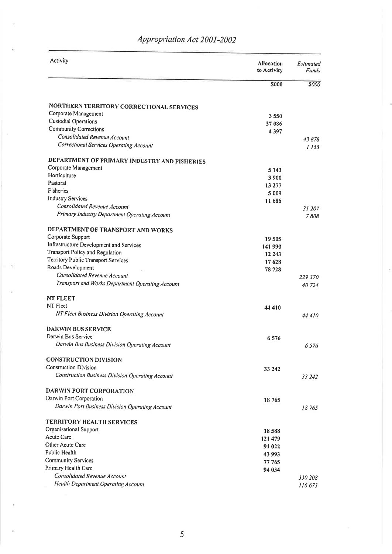| Activity                                                                         | <b>Allocation</b><br>to Activity | Estimated<br>Funds |
|----------------------------------------------------------------------------------|----------------------------------|--------------------|
|                                                                                  | <b>S000</b>                      | <b>SOOO</b>        |
| NORTHERN TERRITORY CORRECTIONAL SERVICES                                         |                                  |                    |
| Corporate Management                                                             | 3550                             |                    |
| Custodial Operations                                                             | 37 086                           |                    |
| <b>Community Corrections</b>                                                     | 4397                             |                    |
| Consolidated Revenue Account                                                     |                                  | 43878              |
| Correctional Services Operating Account                                          |                                  | 1155               |
| DEPARTMENT OF PRIMARY INDUSTRY AND FISHERIES                                     |                                  |                    |
| Corporate Management                                                             | 5 1 4 3                          |                    |
| Horticulture<br>Pastoral                                                         | 3900                             |                    |
| Fisheries                                                                        | 13 277                           |                    |
| <b>Industry Services</b>                                                         | 5 0 0 9                          |                    |
| Consolidated Revenue Account                                                     | 11 686                           |                    |
| Primary Industry Department Operating Account                                    |                                  | 31 207<br>7808     |
|                                                                                  |                                  |                    |
| DEPARTMENT OF TRANSPORT AND WORKS                                                |                                  |                    |
| Corporate Support                                                                | 19505                            |                    |
| Infrastructure Development and Services                                          | 141 990                          |                    |
| Transport Policy and Regulation                                                  | 12 24 3                          |                    |
| Territory Public Transport Services                                              | 17628                            |                    |
| Roads Development                                                                | 78 728                           |                    |
| Consolidated Revenue Account<br>Transport and Works Department Operating Account |                                  | 229 370<br>40724   |
| <b>NT FLEET</b>                                                                  |                                  |                    |
| NT Fleet                                                                         | 44 410                           |                    |
| NT Fleet Business Division Operating Account                                     |                                  | 44410              |
| <b>DARWIN BUS SERVICE</b>                                                        |                                  |                    |
| Darwin Bus Service                                                               | 6576                             |                    |
| Darwin Bus Business Division Operating Account                                   |                                  | 6576               |
| <b>CONSTRUCTION DIVISION</b>                                                     |                                  |                    |
| Construction Division                                                            | 33 242                           |                    |
| Construction Business Division Operating Account                                 |                                  | 33 242             |
| DARWIN PORT CORPORATION                                                          |                                  |                    |
| Darwin Port Corporation                                                          | 18765                            |                    |
| Darwin Port Business Division Operating Account                                  |                                  | 18765              |
| <b>TERRITORY HEALTH SERVICES</b>                                                 |                                  |                    |
| Organisational Support                                                           | 18 5 8 8                         |                    |
| Acute Care                                                                       | 121 479                          |                    |
| Other Acute Care                                                                 | 91 022                           |                    |
| Public Health                                                                    | 43 993                           |                    |
| <b>Community Services</b>                                                        | 77 765                           |                    |
| Primary Health Care<br>Consolidated Revenue Account                              | 94 034                           |                    |
| Health Department Operating Account                                              |                                  | 330 208            |
|                                                                                  |                                  | 116 673            |

### Appropriation Act 2001-2002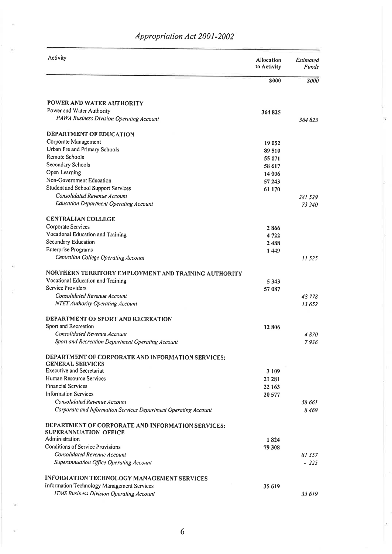| Activity                                                        | <b>Allocation</b><br>to Activity | Estimated<br><b>Funds</b> |
|-----------------------------------------------------------------|----------------------------------|---------------------------|
|                                                                 | <b>S000</b>                      | \$000                     |
| POWER AND WATER AUTHORITY                                       |                                  |                           |
| Power and Water Authority                                       | 364825                           |                           |
| PAWA Business Division Operating Account                        |                                  | 364 825                   |
| DEPARTMENT OF EDUCATION                                         |                                  |                           |
| Corporate Management                                            | 19 052                           |                           |
| Urban Pre and Primary Schools                                   | 89510                            |                           |
| Remote Schools                                                  | 55 171                           |                           |
| Secondary Schools                                               | 58 617                           |                           |
| Open Learning                                                   | 14 006                           |                           |
| Non-Government Education                                        | 57 243                           |                           |
| Student and School Support Services                             | 61 170                           |                           |
| Consolidated Revenue Account                                    |                                  | 281 529                   |
| <b>Education Department Operating Account</b>                   |                                  | 73 240                    |
| <b>CENTRALIAN COLLEGE</b>                                       |                                  |                           |
| Corporate Services                                              | 2866                             |                           |
| Vocational Education and Training                               | 4722                             |                           |
| Secondary Education                                             | 2488                             |                           |
| Enterprise Programs                                             | 1449                             |                           |
| Centralian College Operating Account                            |                                  | 11 525                    |
| NORTHERN TERRITORY EMPLOYMENT AND TRAINING AUTHORITY            |                                  |                           |
| Vocational Education and Training                               | 5343                             |                           |
| Service Providers                                               | 57 087                           |                           |
| Consolidated Revenue Account                                    |                                  | 48 778                    |
| NTET Authority Operating Account                                |                                  | 13652                     |
| DEPARTMENT OF SPORT AND RECREATION                              |                                  |                           |
| Sport and Recreation                                            | 12806                            |                           |
| Consolidated Revenue Account                                    |                                  | 4870                      |
| Sport and Recreation Department Operating Account               |                                  | 7936                      |
| DEPARTMENT OF CORPORATE AND INFORMATION SERVICES:               |                                  |                           |
| <b>GENERAL SERVICES</b><br><b>Executive and Secretariat</b>     | 3 1 0 9                          |                           |
| Human Resource Services                                         | 21 281                           |                           |
| <b>Financial Services</b>                                       | 22 163                           |                           |
| <b>Information Services</b>                                     | 20 577                           |                           |
| Consolidated Revenue Account                                    |                                  | 58 661                    |
| Corporate and Information Services Department Operating Account |                                  | 8469                      |
| DEPARTMENT OF CORPORATE AND INFORMATION SERVICES:               |                                  |                           |
| <b>SUPERANNUATION OFFICE</b>                                    |                                  |                           |
| Administration                                                  | 1824                             |                           |
| Conditions of Service Provisions                                | 79 308                           |                           |
| Consolidated Revenue Account                                    |                                  | 81 357                    |
| Superannuation Office Operating Account                         |                                  | $-225$                    |
| INFORMATION TECHNOLOGY MANAGEMENT SERVICES                      |                                  |                           |
| Information Technology Management Services                      | 35 619                           |                           |
| <b>ITMS Business Division Operating Account</b>                 |                                  | 35619                     |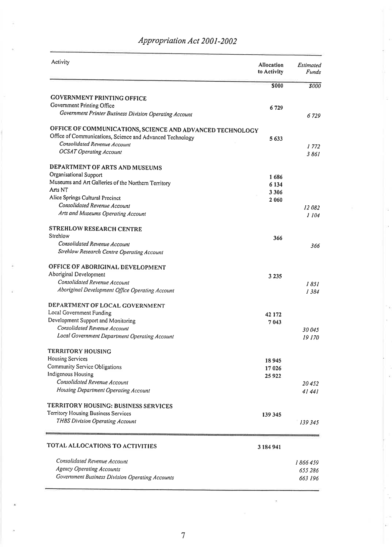| Activity                                                  | Allocation<br>to Activity | Estimated<br>Funds |
|-----------------------------------------------------------|---------------------------|--------------------|
|                                                           | <b>S000</b>               | 8000               |
| <b>GOVERNMENT PRINTING OFFICE</b>                         |                           |                    |
| Government Printing Office                                | 6729                      |                    |
| Government Printer Business Division Operating Account    |                           | 6 729              |
| OFFICE OF COMMUNICATIONS, SCIENCE AND ADVANCED TECHNOLOGY |                           |                    |
| Office of Communications, Science and Advanced Technology | 5633                      |                    |
| Consolidated Revenue Account                              |                           | 1772               |
| <b>OCSAT Operating Account</b>                            |                           | 3861               |
| DEPARTMENT OF ARTS AND MUSEUMS                            |                           |                    |
| Organisational Support                                    | 1686                      |                    |
| Museums and Art Galleries of the Northern Territory       | 6 1 3 4                   |                    |
| Arts NT                                                   | 3 3 0 6                   |                    |
| Alice Springs Cultural Precinct                           | 2 0 6 0                   |                    |
| Consolidated Revenue Account                              |                           | 12082              |
| Arts and Museums Operating Account                        |                           | 1 104              |
| <b>STREHLOW RESEARCH CENTRE</b>                           |                           |                    |
| Strehlow                                                  | 366                       |                    |
| Consolidated Revenue Account                              |                           | 366                |
| Strehlow Research Centre Operating Account                |                           |                    |
| OFFICE OF ABORIGINAL DEVELOPMENT                          |                           |                    |
| Aboriginal Development                                    | 3 2 3 5                   |                    |
| Consolidated Revenue Account                              |                           | 1851               |
| Aboriginal Development Office Operating Account           |                           | 1384               |
| DEPARTMENT OF LOCAL GOVERNMENT                            |                           |                    |
| Local Government Funding                                  | 42 172                    |                    |
| Development Support and Monitoring                        | 7043                      |                    |
| Consolidated Revenue Account                              |                           | 30045              |
| Local Government Department Operating Account             |                           | 19 170             |
| <b>TERRITORY HOUSING</b>                                  |                           |                    |
| <b>Housing Services</b>                                   | 18 945                    |                    |
| Community Service Obligations                             | 17 026                    |                    |
| Indigenous Housing                                        | 25922                     |                    |
| Consolidated Revenue Account                              |                           | 20452              |
| Housing Department Operating Account                      |                           | 41441              |
| TERRITORY HOUSING: BUSINESS SERVICES                      |                           |                    |
| Territory Housing Business Services                       | 139 345                   |                    |
| THBS Division Operating Account                           |                           |                    |
|                                                           |                           | 139 345            |
| TOTAL ALLOCATIONS TO ACTIVITIES                           | 3 184 941                 |                    |
| Consolidated Revenue Account                              |                           | 1 866 459          |
| <b>Agency Operating Accounts</b>                          |                           | 655 286            |
| Government Business Division Operating Accounts           |                           | 663 196            |
|                                                           |                           |                    |

# Appropriation Act 2001-2002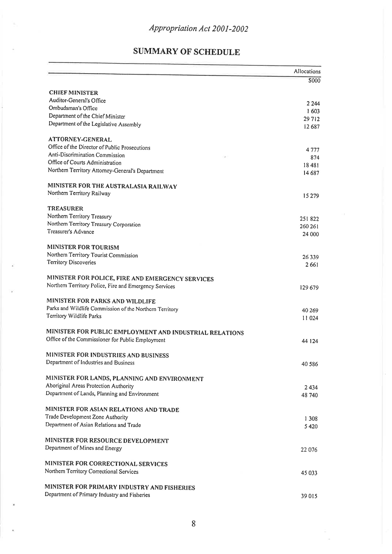## **SUMMARY OF SCHEDULE**

|                                                                          | Allocations      |
|--------------------------------------------------------------------------|------------------|
|                                                                          | S000             |
| <b>CHIEF MINISTER</b>                                                    |                  |
| Auditor-General's Office                                                 |                  |
| Ombudsman's Office                                                       | 2 2 4 4<br>1603  |
| Department of the Chief Minister                                         | 29712            |
| Department of the Legislative Assembly                                   | 12687            |
|                                                                          |                  |
| <b>ATTORNEY-GENERAL</b><br>Office of the Director of Public Prosecutions |                  |
| Anti-Discrimination Commission                                           | 4777             |
| Office of Courts Administration                                          | 874              |
| Northern Territory Attorney-General's Department                         | 18481<br>14 687  |
|                                                                          |                  |
| MINISTER FOR THE AUSTRALASIA RAILWAY                                     |                  |
| Northern Territory Railway                                               | 15 279           |
| <b>TREASURER</b>                                                         |                  |
| Northern Territory Treasury                                              | 251822           |
| Northern Territory Treasury Corporation                                  | 260 261          |
| Treasurer's Advance                                                      | 24 000           |
| <b>MINISTER FOR TOURISM</b>                                              |                  |
| Northern Territory Tourist Commission                                    |                  |
| <b>Territory Discoveries</b>                                             | 26339<br>2 6 6 1 |
|                                                                          |                  |
| MINISTER FOR POLICE, FIRE AND EMERGENCY SERVICES                         |                  |
| Northern Territory Police, Fire and Emergency Services                   | 129 679          |
| MINISTER FOR PARKS AND WILDLIFE                                          |                  |
| Parks and Wildlife Commission of the Northern Territory                  | 40 269           |
| Territory Wildlife Parks                                                 | 11 024           |
|                                                                          |                  |
| MINISTER FOR PUBLIC EMPLOYMENT AND INDUSTRIAL RELATIONS                  |                  |
| Office of the Commissioner for Public Employment                         | 44 124           |
| MINISTER FOR INDUSTRIES AND BUSINESS                                     |                  |
| Department of Industries and Business                                    | 40 5 86          |
|                                                                          |                  |
| MINISTER FOR LANDS, PLANNING AND ENVIRONMENT                             |                  |
| Aboriginal Areas Protection Authority                                    | 2434             |
| Department of Lands, Planning and Environment                            | 48 740           |
| MINISTER FOR ASIAN RELATIONS AND TRADE                                   |                  |
| Trade Development Zone Authority                                         | 1 3 0 8          |
| Department of Asian Relations and Trade                                  | 5420             |
|                                                                          |                  |
| MINISTER FOR RESOURCE DEVELOPMENT                                        |                  |
| Department of Mines and Energy                                           | 22 076           |
| MINISTER FOR CORRECTIONAL SERVICES                                       |                  |
| Northern Territory Correctional Services                                 | 45 033           |
|                                                                          |                  |
| MINISTER FOR PRIMARY INDUSTRY AND FISHERIES                              |                  |
| Department of Primary Industry and Fisheries                             | 39015            |